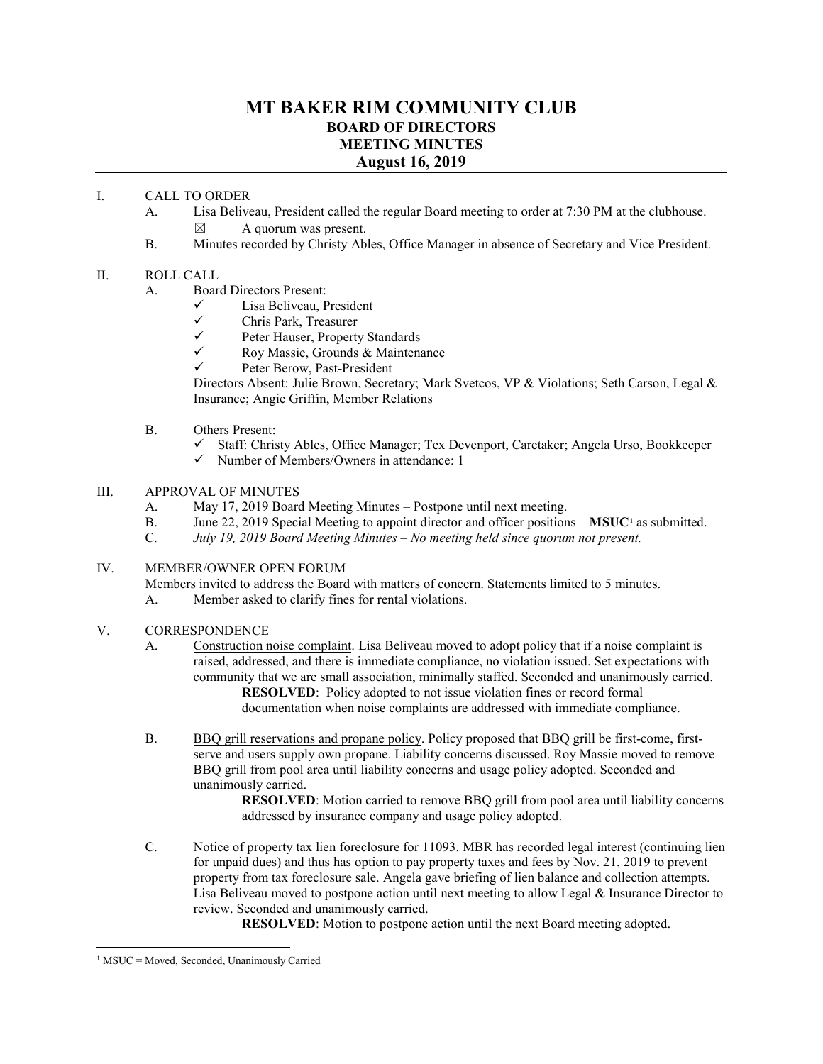### **MT BAKER RIM COMMUNITY CLUB BOARD OF DIRECTORS MEETING MINUTES August 16, 2019**

### I. CALL TO ORDER

- A. Lisa Beliveau, President called the regular Board meeting to order at 7:30 PM at the clubhouse.  $\boxtimes$  A quorum was present.
- B. Minutes recorded by Christy Ables, Office Manager in absence of Secretary and Vice President.

### II. ROLL CALL

- A. Board Directors Present:
	- $\checkmark$  Lisa Beliveau, President<br>
	Chris Park Treasurer
	- $\checkmark$  Chris Park, Treasurer<br> $\checkmark$  Peter Hauser Property
	- $\checkmark$  Peter Hauser, Property Standards<br> $\checkmark$  Roy Massie Grounds & Mainteni
	- Roy Massie, Grounds & Maintenance
	- Peter Berow, Past-President

Directors Absent: Julie Brown, Secretary; Mark Svetcos, VP & Violations; Seth Carson, Legal & Insurance; Angie Griffin, Member Relations

- B. Others Present:
	- $\checkmark$  Staff: Christy Ables, Office Manager; Tex Devenport, Caretaker; Angela Urso, Bookkeeper
	- $\checkmark$  Number of Members/Owners in attendance: 1

### III. APPROVAL OF MINUTES

- A. May 17, 2019 Board Meeting Minutes Postpone until next meeting.
- B. June 22, 20[1](#page-0-0)9 Special Meeting to appoint director and officer positions **MSUC**<sup>1</sup> as submitted.<br>C. July 19, 2019 Board Meeting Minutes No meeting held since auorum not present.
- July 19, 2019 Board Meeting Minutes No meeting held since quorum not present.

### IV. MEMBER/OWNER OPEN FORUM

Members invited to address the Board with matters of concern. Statements limited to 5 minutes.

- A. Member asked to clarify fines for rental violations.
- V. CORRESPONDENCE
	- A. Construction noise complaint. Lisa Beliveau moved to adopt policy that if a noise complaint is raised, addressed, and there is immediate compliance, no violation issued. Set expectations with community that we are small association, minimally staffed. Seconded and unanimously carried. **RESOLVED**: Policy adopted to not issue violation fines or record formal documentation when noise complaints are addressed with immediate compliance.
	- B. BBQ grill reservations and propane policy. Policy proposed that BBQ grill be first-come, firstserve and users supply own propane. Liability concerns discussed. Roy Massie moved to remove BBQ grill from pool area until liability concerns and usage policy adopted. Seconded and unanimously carried.

**RESOLVED**: Motion carried to remove BBQ grill from pool area until liability concerns addressed by insurance company and usage policy adopted.

C. Notice of property tax lien foreclosure for 11093. MBR has recorded legal interest (continuing lien for unpaid dues) and thus has option to pay property taxes and fees by Nov. 21, 2019 to prevent property from tax foreclosure sale. Angela gave briefing of lien balance and collection attempts. Lisa Beliveau moved to postpone action until next meeting to allow Legal & Insurance Director to review. Seconded and unanimously carried.

**RESOLVED**: Motion to postpone action until the next Board meeting adopted.

<span id="page-0-0"></span> $1$  MSUC = Moved, Seconded, Unanimously Carried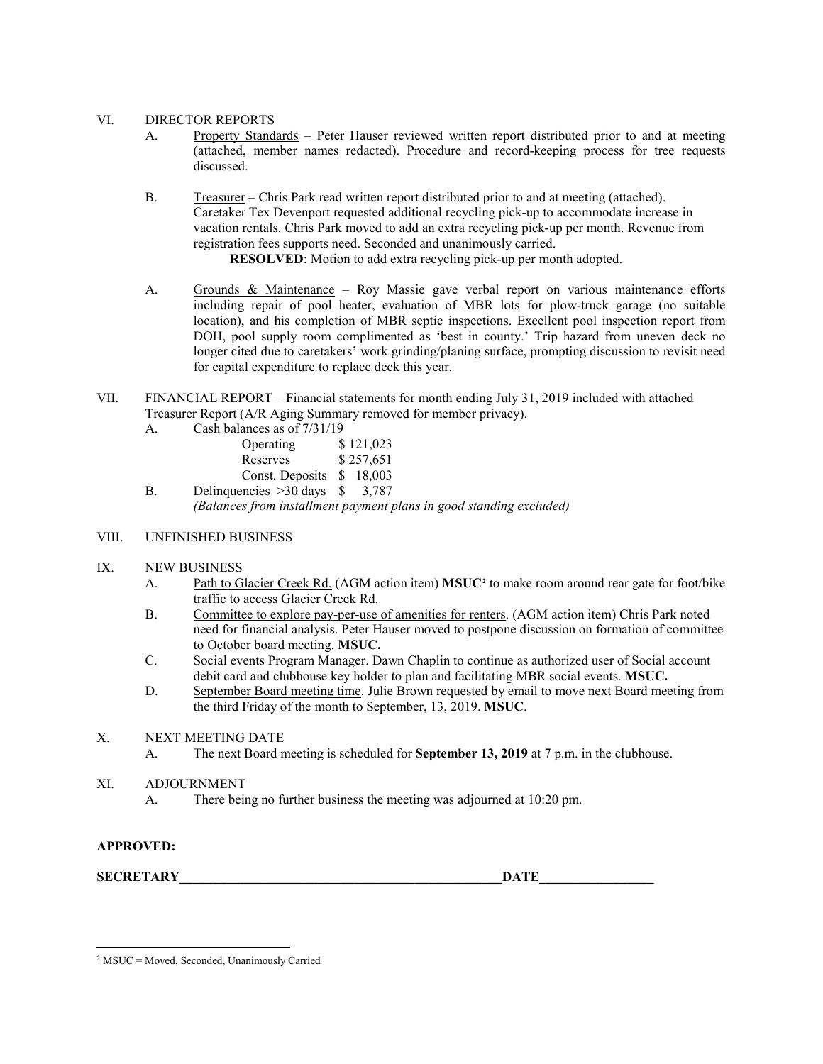### VI. DIRECTOR REPORTS

- A. Property Standards Peter Hauser reviewed written report distributed prior to and at meeting (attached, member names redacted). Procedure and record-keeping process for tree requests discussed.
- B. Treasurer Chris Park read written report distributed prior to and at meeting (attached). Caretaker Tex Devenport requested additional recycling pick-up to accommodate increase in vacation rentals. Chris Park moved to add an extra recycling pick-up per month. Revenue from registration fees supports need. Seconded and unanimously carried.

**RESOLVED**: Motion to add extra recycling pick-up per month adopted.

- A. Grounds & Maintenance Roy Massie gave verbal report on various maintenance efforts including repair of pool heater, evaluation of MBR lots for plow-truck garage (no suitable location), and his completion of MBR septic inspections. Excellent pool inspection report from DOH, pool supply room complimented as 'best in county.' Trip hazard from uneven deck no longer cited due to caretakers' work grinding/planing surface, prompting discussion to revisit need for capital expenditure to replace deck this year.
- VII. FINANCIAL REPORT Financial statements for month ending July 31, 2019 included with attached Treasurer Report (A/R Aging Summary removed for member privacy).
	- A. Cash balances as of 7/31/19

| Operating         |   | \$121,023 |
|-------------------|---|-----------|
| Reserves          |   | \$257,651 |
| Const. Deposits   |   | \$ 18,003 |
| auencies >30 davs | Ф | 3.787     |

B. Delinquencies >30 days \$ 3,787 *(Balances from installment payment plans in good standing excluded)*

### VIII. UNFINISHED BUSINESS

- IX. NEW BUSINESS
	- A. Path to Glacier Creek Rd. (AGM action item) **MSUC[2](#page-1-0)** to make room around rear gate for foot/bike traffic to access Glacier Creek Rd.
	- B. Committee to explore pay-per-use of amenities for renters. (AGM action item) Chris Park noted need for financial analysis. Peter Hauser moved to postpone discussion on formation of committee to October board meeting. **MSUC.**
	- C. Social events Program Manager. Dawn Chaplin to continue as authorized user of Social account debit card and clubhouse key holder to plan and facilitating MBR social events. **MSUC.**
	- D. September Board meeting time. Julie Brown requested by email to move next Board meeting from the third Friday of the month to September, 13, 2019. **MSUC**.
- X. NEXT MEETING DATE
	- A. The next Board meeting is scheduled for **September 13, 2019** at 7 p.m. in the clubhouse.
- XI. ADJOURNMENT
	- A. There being no further business the meeting was adjourned at 10:20 pm.

### **APPROVED:**

 $\bf{SECRETARY}$  . The contract of the contract of the contract of the contract of the contract of the contract of the contract of the contract of the contract of the contract of the contract of the contract of the contract of

<span id="page-1-0"></span> <sup>2</sup> MSUC = Moved, Seconded, Unanimously Carried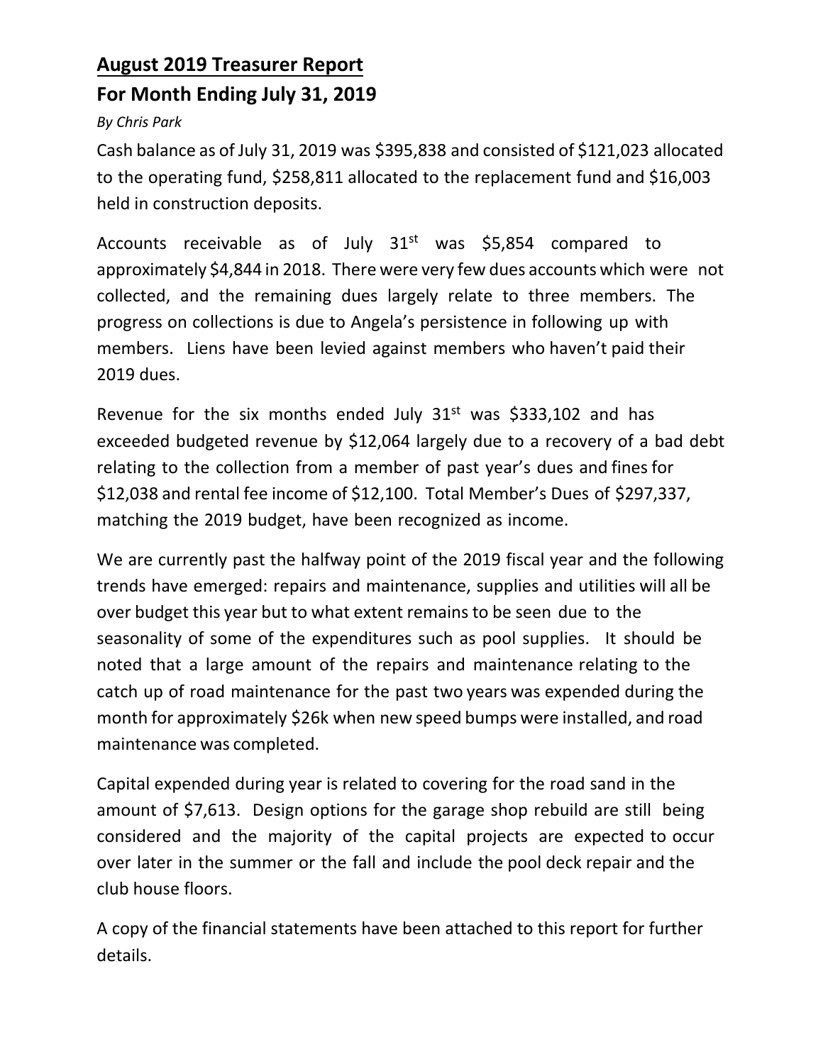## **August 2019 Treasurer Report For Month Ending July 31, 2019**

### *By Chris Park*

Cash balance as of July 31, 2019 was \$395,838 and consisted of \$121,023 allocated to the operating fund, \$258,811 allocated to the replacement fund and \$16,003 held in construction deposits.

Accounts receivable as of July  $31<sup>st</sup>$  was \$5,854 compared to approximately \$4,844 in 2018. There were very few dues accounts which were not collected, and the remaining dues largely relate to three members. The progress on collections is due to Angela's persistence in following up with members. Liens have been levied against members who haven't paid their 2019 dues.

Revenue for the six months ended July  $31<sup>st</sup>$  was \$333,102 and has exceeded budgeted revenue by \$12,064 largely due to a recovery of a bad debt relating to the collection from a member of past year's dues and fines for \$12,038 and rental fee income of \$12,100. Total Member's Dues of \$297,337, matching the 2019 budget, have been recognized as income.

We are currently past the halfway point of the 2019 fiscal year and the following trends have emerged: repairs and maintenance, supplies and utilities will all be over budget this year but to what extent remains to be seen due to the seasonality of some of the expenditures such as pool supplies. It should be noted that a large amount of the repairs and maintenance relating to the catch up of road maintenance for the past two years was expended during the month for approximately \$26k when new speed bumps were installed, and road maintenance was completed.

Capital expended during year is related to covering for the road sand in the amount of \$7,613. Design options for the garage shop rebuild are still being considered and the majority of the capital projects are expected to occur over later in the summer or the fall and include the pool deck repair and the club house floors.

A copy of the financial statements have been attached to this report for further details.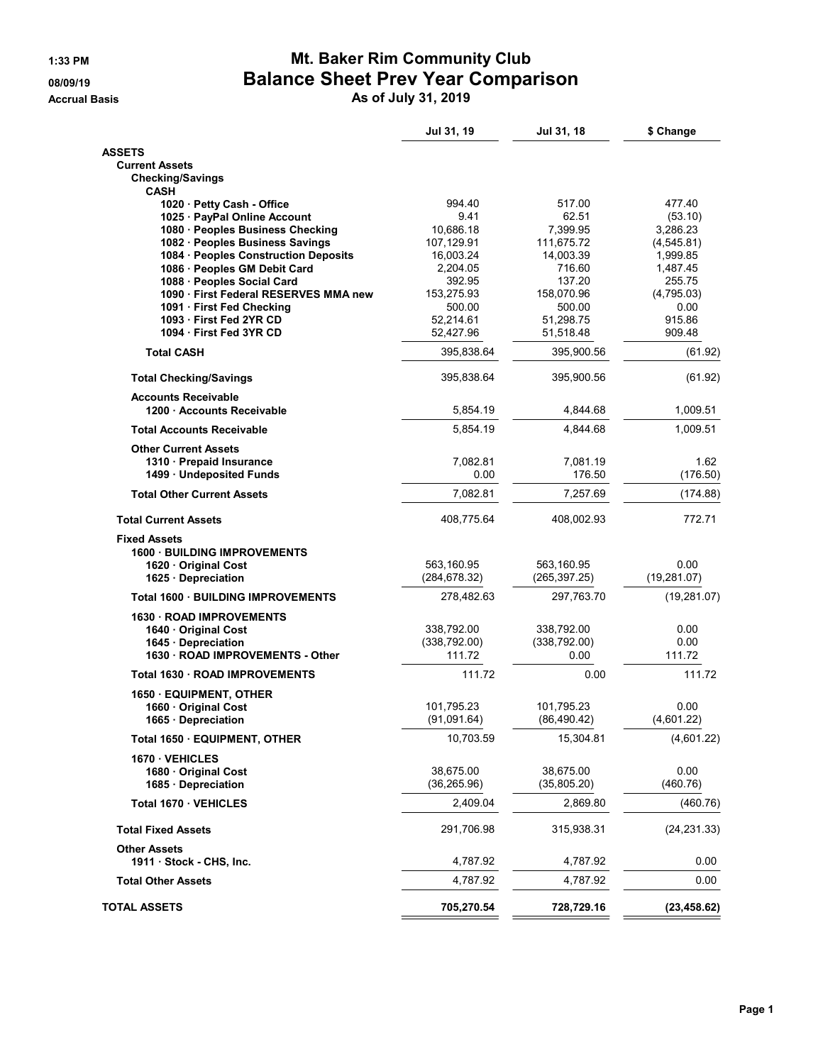### **1:33 PM Mt. Baker Rim Community Club 08/09/19 Balance Sheet Prev Year Comparison**

**Accrual Basis As of July 31, 2019**

|                                                                    | Jul 31, 19                  | Jul 31, 18           | \$ Change          |
|--------------------------------------------------------------------|-----------------------------|----------------------|--------------------|
| <b>ASSETS</b>                                                      |                             |                      |                    |
| <b>Current Assets</b>                                              |                             |                      |                    |
| <b>Checking/Savings</b><br><b>CASH</b>                             |                             |                      |                    |
| 1020 · Petty Cash - Office                                         | 994.40                      | 517.00               | 477.40             |
| 1025 · PayPal Online Account                                       | 9.41                        | 62.51                | (53.10)            |
| 1080 · Peoples Business Checking                                   | 10,686.18                   | 7,399.95             | 3,286.23           |
| 1082 · Peoples Business Savings                                    | 107,129.91                  | 111,675.72           | (4,545.81)         |
| 1084 · Peoples Construction Deposits                               | 16,003.24                   | 14,003.39            | 1,999.85           |
| 1086 · Peoples GM Debit Card                                       | 2,204.05                    | 716.60               | 1,487.45           |
| 1088 · Peoples Social Card                                         | 392.95                      | 137.20               | 255.75             |
| 1090 · First Federal RESERVES MMA new<br>1091 · First Fed Checking | 153,275.93<br>500.00        | 158,070.96<br>500.00 | (4,795.03)<br>0.00 |
| 1093 First Fed 2YR CD                                              | 52,214.61                   | 51,298.75            | 915.86             |
| 1094 First Fed 3YR CD                                              | 52,427.96                   | 51,518.48            | 909.48             |
| <b>Total CASH</b>                                                  | 395,838.64                  | 395,900.56           | (61.92)            |
| <b>Total Checking/Savings</b>                                      | 395,838.64                  | 395,900.56           | (61.92)            |
| <b>Accounts Receivable</b><br>1200 · Accounts Receivable           | 5,854.19                    | 4,844.68             | 1,009.51           |
| <b>Total Accounts Receivable</b>                                   | 5,854.19                    | 4,844.68             | 1,009.51           |
| <b>Other Current Assets</b>                                        |                             |                      |                    |
| 1310 · Prepaid Insurance                                           | 7,082.81                    | 7,081.19             | 1.62               |
| 1499 · Undeposited Funds                                           | 0.00                        | 176.50               | (176.50)           |
| <b>Total Other Current Assets</b>                                  | 7,082.81                    | 7,257.69             | (174.88)           |
| <b>Total Current Assets</b>                                        | 408,775.64                  | 408,002.93           | 772.71             |
| <b>Fixed Assets</b>                                                |                             |                      |                    |
| 1600 BUILDING IMPROVEMENTS                                         |                             |                      |                    |
| 1620 Original Cost                                                 | 563,160.95                  | 563,160.95           | 0.00               |
| 1625 · Depreciation<br><b>Total 1600 BUILDING IMPROVEMENTS</b>     | (284, 678.32)<br>278,482.63 | (265,397.25)         | (19, 281.07)       |
| 1630 ROAD IMPROVEMENTS                                             |                             | 297,763.70           | (19, 281.07)       |
| 1640 Original Cost                                                 | 338,792.00                  | 338,792.00           | 0.00               |
| 1645 · Depreciation                                                | (338, 792.00)               | (338, 792.00)        | 0.00               |
| 1630 · ROAD IMPROVEMENTS - Other                                   | 111.72                      | 0.00                 | 111.72             |
| Total 1630 · ROAD IMPROVEMENTS                                     | 111.72                      | 0.00                 | 111.72             |
| 1650 · EQUIPMENT, OTHER                                            |                             |                      |                    |
| 1660 · Original Cost                                               | 101.795.23                  | 101,795.23           | 0.00               |
| 1665 · Depreciation                                                | (91,091.64)                 | (86, 490.42)         | (4,601.22)         |
| Total 1650 · EQUIPMENT, OTHER                                      | 10,703.59                   | 15,304.81            | (4,601.22)         |
| 1670 VEHICLES                                                      |                             |                      |                    |
| 1680 · Original Cost                                               | 38,675.00                   | 38,675.00            | 0.00               |
| 1685 · Depreciation                                                | (36, 265.96)                | (35, 805.20)         | (460.76)           |
| Total 1670 · VEHICLES                                              | 2,409.04                    | 2,869.80             | (460.76)           |
| <b>Total Fixed Assets</b>                                          | 291,706.98                  | 315,938.31           | (24, 231.33)       |
| <b>Other Assets</b><br>1911 · Stock - CHS, Inc.                    |                             | 4,787.92             |                    |
| <b>Total Other Assets</b>                                          | 4,787.92<br>4,787.92        | 4,787.92             | 0.00<br>0.00       |
|                                                                    |                             |                      |                    |
| <b>TOTAL ASSETS</b>                                                | 705,270.54                  | 728,729.16           | (23, 458.62)       |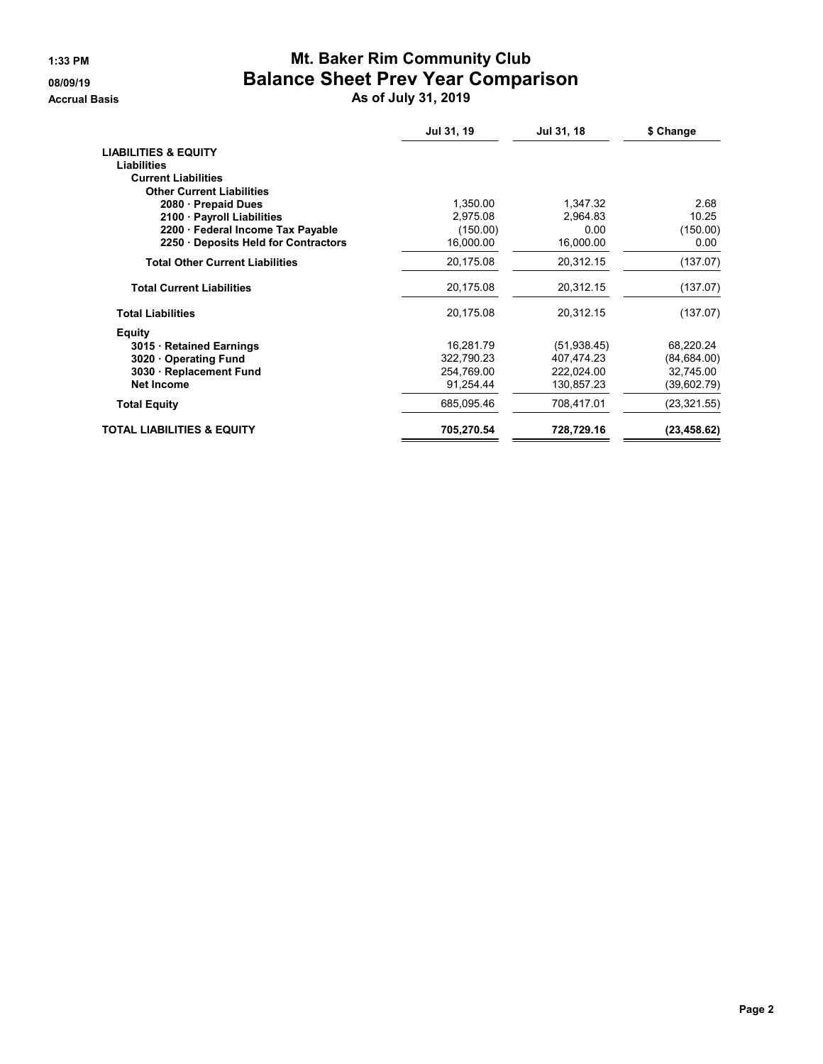### **1:33 PM Mt. Baker Rim Community Club 08/09/19 Balance Sheet Prev Year Comparison**

**Accrual Basis As of July 31, 2019**

|                                        | Jul 31, 19 | Jul 31, 18   | \$ Change    |
|----------------------------------------|------------|--------------|--------------|
| <b>LIABILITIES &amp; EQUITY</b>        |            |              |              |
| Liabilities                            |            |              |              |
| <b>Current Liabilities</b>             |            |              |              |
| <b>Other Current Liabilities</b>       |            |              |              |
| 2080 · Prepaid Dues                    | 1.350.00   | 1,347.32     | 2.68         |
| 2100 · Payroll Liabilities             | 2.975.08   | 2.964.83     | 10.25        |
| 2200 · Federal Income Tax Payable      | (150.00)   | 0.00         | (150.00)     |
| 2250 Deposits Held for Contractors     | 16,000.00  | 16,000.00    | 0.00         |
| <b>Total Other Current Liabilities</b> | 20,175.08  | 20,312.15    | (137.07)     |
| <b>Total Current Liabilities</b>       | 20,175.08  | 20,312.15    | (137.07)     |
| <b>Total Liabilities</b>               | 20,175.08  | 20,312.15    | (137.07)     |
| <b>Equity</b>                          |            |              |              |
| 3015 Retained Earnings                 | 16,281.79  | (51, 938.45) | 68,220.24    |
| 3020 Operating Fund                    | 322,790.23 | 407,474.23   | (84, 684.00) |
| 3030 · Replacement Fund                | 254,769.00 | 222,024.00   | 32,745.00    |
| <b>Net Income</b>                      | 91.254.44  | 130,857.23   | (39,602.79)  |
| <b>Total Equity</b>                    | 685,095.46 | 708,417.01   | (23, 321.55) |
| <b>TOTAL LIABILITIES &amp; EQUITY</b>  | 705,270.54 | 728,729.16   | (23, 458.62) |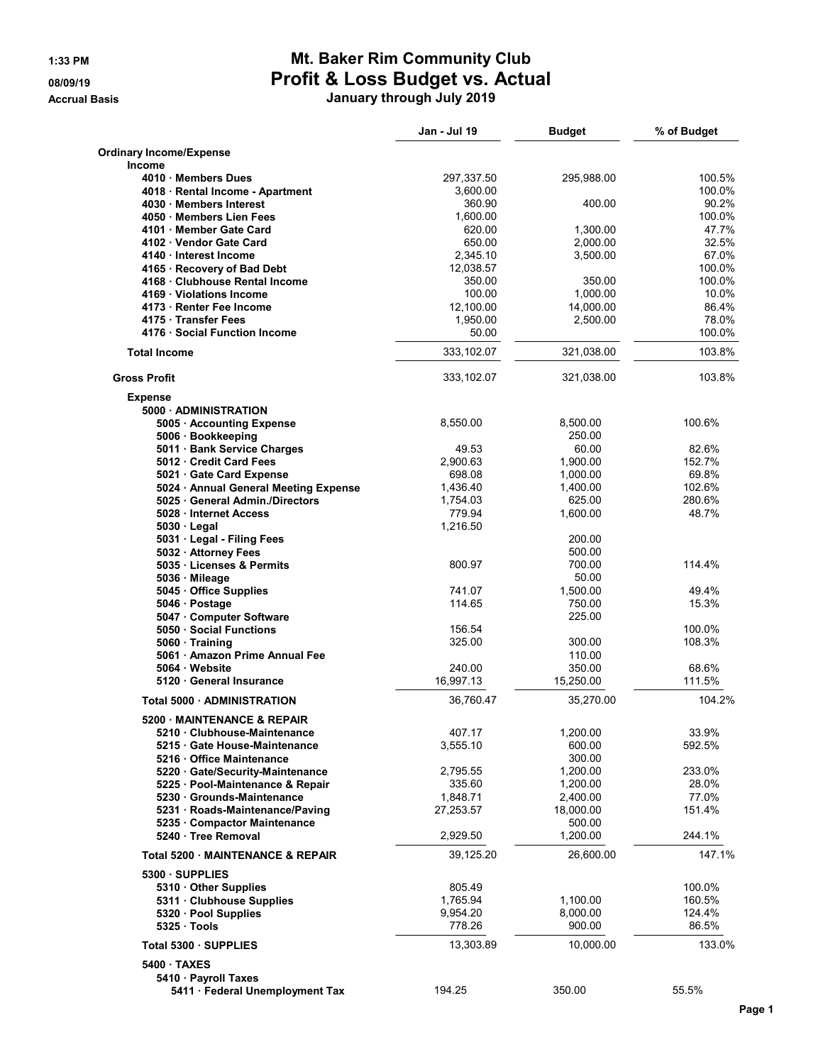## **1:33 PM Mt. Baker Rim Community Club 08/09/19 Profit & Loss Budget vs. Actual**

**Accrual Basis January through July 2019**

|                                                                      | Jan - Jul 19        | <b>Budget</b>        | % of Budget      |
|----------------------------------------------------------------------|---------------------|----------------------|------------------|
| <b>Ordinary Income/Expense</b>                                       |                     |                      |                  |
| <b>Income</b>                                                        |                     |                      |                  |
| 4010 Members Dues                                                    | 297,337.50          | 295,988.00           | 100.5%<br>100.0% |
| 4018 · Rental Income - Apartment<br>4030 Members Interest            | 3,600.00<br>360.90  | 400.00               | 90.2%            |
| 4050 Members Lien Fees                                               | 1,600.00            |                      | 100.0%           |
| 4101 Member Gate Card                                                | 620.00              | 1,300.00             | 47.7%            |
| 4102 Vendor Gate Card                                                | 650.00              | 2,000.00             | 32.5%            |
| 4140 · Interest Income                                               | 2,345.10            | 3,500.00             | 67.0%            |
| 4165 · Recovery of Bad Debt                                          | 12,038.57           |                      | 100.0%           |
| 4168 · Clubhouse Rental Income                                       | 350.00              | 350.00               | 100.0%           |
| 4169 Violations Income                                               | 100.00              | 1,000.00             | 10.0%            |
| 4173 · Renter Fee Income                                             | 12,100.00           | 14,000.00            | 86.4%            |
| 4175 Transfer Fees                                                   | 1,950.00            | 2,500.00             | 78.0%            |
| 4176 Social Function Income                                          | 50.00               |                      | 100.0%           |
| <b>Total Income</b>                                                  | 333,102.07          | 321,038.00           | 103.8%           |
| <b>Gross Profit</b>                                                  | 333,102.07          | 321,038.00           | 103.8%           |
| <b>Expense</b>                                                       |                     |                      |                  |
| 5000 ADMINISTRATION                                                  |                     |                      |                  |
| 5005 · Accounting Expense                                            | 8,550.00            | 8,500.00             | 100.6%           |
| 5006 · Bookkeeping                                                   |                     | 250.00               |                  |
| 5011 · Bank Service Charges                                          | 49.53               | 60.00                | 82.6%<br>152.7%  |
| 5012 Credit Card Fees                                                | 2,900.63<br>698.08  | 1,900.00             |                  |
| 5021 Gate Card Expense<br>5024 • Annual General Meeting Expense      | 1,436.40            | 1,000.00<br>1,400.00 | 69.8%<br>102.6%  |
| 5025 · General Admin./Directors                                      | 1,754.03            | 625.00               | 280.6%           |
| 5028 · Internet Access                                               | 779.94              | 1,600.00             | 48.7%            |
| $5030 \cdot$ Legal                                                   | 1,216.50            |                      |                  |
| 5031 · Legal - Filing Fees                                           |                     | 200.00               |                  |
| 5032 · Attorney Fees                                                 |                     | 500.00               |                  |
| 5035 · Licenses & Permits                                            | 800.97              | 700.00               | 114.4%           |
| 5036 Mileage                                                         |                     | 50.00                |                  |
| 5045 Office Supplies                                                 | 741.07              | 1,500.00             | 49.4%            |
| 5046 · Postage                                                       | 114.65              | 750.00               | 15.3%            |
| 5047 Computer Software                                               |                     | 225.00               |                  |
| 5050 · Social Functions                                              | 156.54              |                      | 100.0%           |
| 5060 Training                                                        | 325.00              | 300.00               | 108.3%           |
| 5061 Amazon Prime Annual Fee                                         |                     | 110.00               |                  |
| 5064 Website<br>5120 · General Insurance                             | 240.00<br>16,997.13 | 350.00               | 68.6%            |
|                                                                      |                     | 15,250.00            | 111.5%           |
| Total 5000 · ADMINISTRATION                                          | 36,760.47           | 35,270.00            | 104.2%           |
| <b>5200 MAINTENANCE &amp; REPAIR</b>                                 |                     |                      |                  |
| 5210 Clubhouse-Maintenance                                           | 407.17              | 1,200.00             | 33.9%            |
| 5215 · Gate House-Maintenance                                        | 3,555.10            | 600.00               | 592.5%           |
| 5216 Office Maintenance                                              |                     | 300.00               | 233.0%           |
| 5220 · Gate/Security-Maintenance<br>5225 · Pool-Maintenance & Repair | 2,795.55<br>335.60  | 1,200.00<br>1,200.00 | 28.0%            |
| 5230 Grounds-Maintenance                                             | 1,848.71            | 2,400.00             | 77.0%            |
| 5231 · Roads-Maintenance/Paving                                      | 27,253.57           | 18,000.00            | 151.4%           |
| 5235 Compactor Maintenance                                           |                     | 500.00               |                  |
| 5240 · Tree Removal                                                  | 2,929.50            | 1,200.00             | 244.1%           |
| Total 5200 MAINTENANCE & REPAIR                                      | 39,125.20           | 26,600.00            | 147.1%           |
| 5300 SUPPLIES                                                        |                     |                      |                  |
| 5310 Other Supplies                                                  | 805.49              |                      | 100.0%           |
| 5311 Clubhouse Supplies                                              | 1,765.94            | 1,100.00             | 160.5%           |
| 5320 · Pool Supplies                                                 | 9,954.20            | 8,000.00             | 124.4%           |
| $5325 \cdot$ Tools                                                   | 778.26              | 900.00               | 86.5%            |
| Total 5300 · SUPPLIES                                                | 13,303.89           | 10,000.00            | 133.0%           |
| 5400 TAXES                                                           |                     |                      |                  |
| 5410 · Payroll Taxes                                                 |                     |                      |                  |
| 5411 · Federal Unemployment Tax                                      | 194.25              | 350.00               | 55.5%            |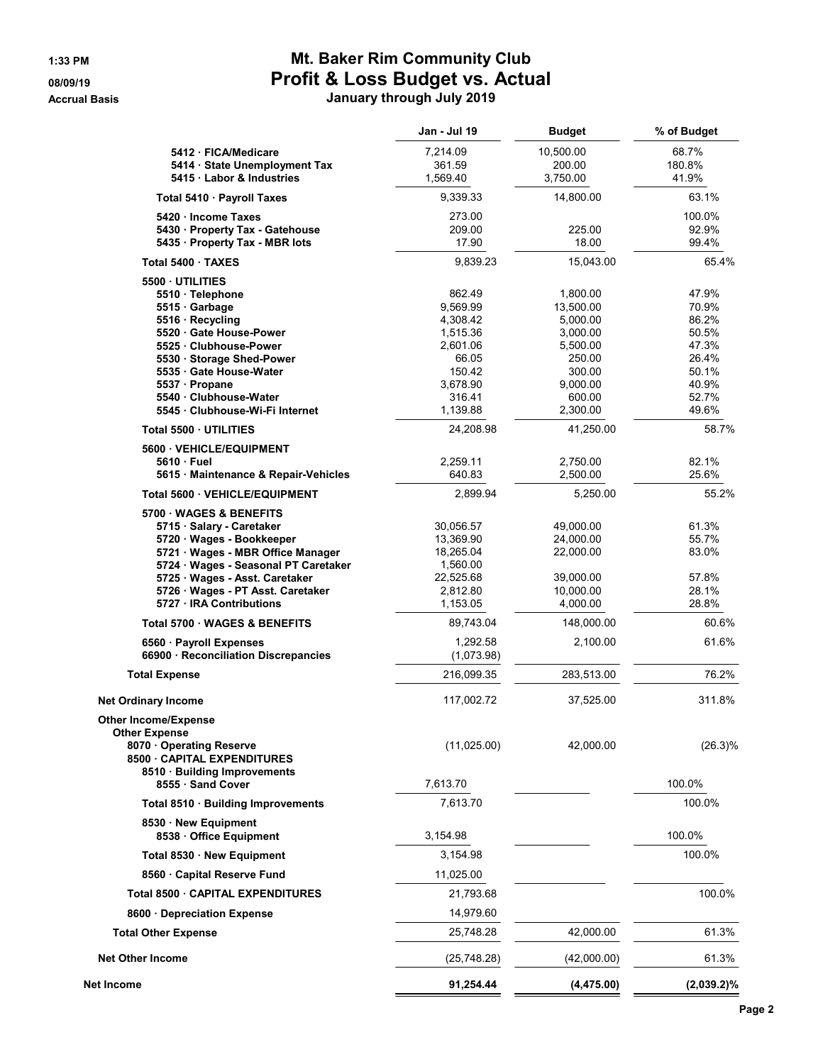### **1:33 PM Mt. Baker Rim Community Club 08/09/19 Profit & Loss Budget vs. Actual Accrual Basis January through July 2019**

|                                                                           | Jan - Jul 19          | <b>Budget</b>        | % of Budget    |
|---------------------------------------------------------------------------|-----------------------|----------------------|----------------|
| 5412 · FICA/Medicare                                                      | 7,214.09              | 10,500.00            | 68.7%          |
| 5414 · State Unemployment Tax                                             | 361.59                | 200.00               | 180.8%         |
| 5415 Labor & Industries                                                   | 1,569.40              | 3,750.00             | 41.9%          |
| Total 5410 · Payroll Taxes                                                | 9,339.33              | 14,800.00            | 63.1%          |
| 5420 · Income Taxes                                                       | 273.00                |                      | 100.0%         |
| 5430 · Property Tax - Gatehouse                                           | 209.00                | 225.00               | 92.9%          |
| 5435 · Property Tax - MBR lots                                            | 17.90                 | 18.00                | 99.4%          |
| Total 5400 TAXES                                                          | 9,839.23              | 15,043.00            | 65.4%          |
| 5500 UTILITIES                                                            |                       |                      |                |
| 5510 · Telephone                                                          | 862.49                | 1,800.00             | 47.9%          |
| 5515 Garbage                                                              | 9,569.99              | 13,500.00            | 70.9%          |
| 5516 · Recycling<br>5520 Gate House-Power                                 | 4,308.42<br>1,515.36  | 5,000.00<br>3,000.00 | 86.2%<br>50.5% |
| 5525 Clubhouse-Power                                                      | 2,601.06              | 5,500.00             | 47.3%          |
| 5530 Storage Shed-Power                                                   | 66.05                 | 250.00               | 26.4%          |
| 5535 Gate House-Water                                                     | 150.42                | 300.00               | 50.1%          |
| 5537 · Propane                                                            | 3,678.90              | 9,000.00             | 40.9%          |
| 5540 Clubhouse-Water                                                      | 316.41                | 600.00               | 52.7%          |
| 5545 · Clubhouse-Wi-Fi Internet                                           | 1,139.88              | 2,300.00             | 49.6%          |
| Total 5500 UTILITIES                                                      | 24,208.98             | 41,250.00            | 58.7%          |
| 5600 VEHICLE/EQUIPMENT                                                    |                       |                      |                |
| 5610 Fuel                                                                 | 2,259.11              | 2,750.00             | 82.1%          |
| 5615 Maintenance & Repair-Vehicles                                        | 640.83                | 2,500.00             | 25.6%          |
| Total 5600 VEHICLE/EQUIPMENT                                              | 2,899.94              | 5,250.00             | 55.2%          |
| 5700 WAGES & BENEFITS                                                     |                       |                      |                |
| 5715 · Salary - Caretaker                                                 | 30,056.57             | 49,000.00            | 61.3%          |
| 5720 · Wages - Bookkeeper                                                 | 13,369.90             | 24,000.00            | 55.7%<br>83.0% |
| 5721 · Wages - MBR Office Manager<br>5724 · Wages - Seasonal PT Caretaker | 18,265.04<br>1,560.00 | 22,000.00            |                |
| 5725 · Wages - Asst. Caretaker                                            | 22,525.68             | 39,000.00            | 57.8%          |
| 5726 · Wages - PT Asst. Caretaker                                         | 2,812.80              | 10,000.00            | 28.1%          |
| 5727 · IRA Contributions                                                  | 1,153.05              | 4,000.00             | 28.8%          |
| Total 5700 · WAGES & BENEFITS                                             | 89,743.04             | 148,000.00           | 60.6%          |
| 6560 · Payroll Expenses                                                   | 1,292.58              | 2,100.00             | 61.6%          |
| 66900 Reconciliation Discrepancies                                        | (1,073.98)            |                      |                |
| <b>Total Expense</b>                                                      | 216,099.35            | 283,513.00           | 76.2%          |
| <b>Net Ordinary Income</b>                                                | 117,002.72            | 37,525.00            | 311.8%         |
| <b>Other Income/Expense</b>                                               |                       |                      |                |
| <b>Other Expense</b>                                                      |                       |                      |                |
| 8070 Operating Reserve                                                    | (11,025.00)           | 42,000.00            | $(26.3)\%$     |
| 8500 CAPITAL EXPENDITURES                                                 |                       |                      |                |
| 8510 · Building Improvements                                              |                       |                      |                |
| 8555 · Sand Cover                                                         | 7,613.70              |                      | 100.0%         |
| Total 8510 · Building Improvements                                        | 7,613.70              |                      | 100.0%         |
| 8530 New Equipment<br>8538 Office Equipment                               | 3,154.98              |                      | 100.0%         |
| Total 8530 · New Equipment                                                | 3,154.98              |                      | 100.0%         |
|                                                                           |                       |                      |                |
| 8560 Capital Reserve Fund                                                 | 11,025.00             |                      |                |
| Total 8500 · CAPITAL EXPENDITURES                                         | 21,793.68             |                      | 100.0%         |
| 8600 · Depreciation Expense                                               | 14,979.60             |                      |                |
| <b>Total Other Expense</b>                                                | 25,748.28             | 42,000.00            | 61.3%          |
| <b>Net Other Income</b>                                                   | (25, 748.28)          | (42,000.00)          | 61.3%          |
| Net Income                                                                | 91,254.44             | (4, 475.00)          | $(2,039.2)\%$  |
|                                                                           |                       |                      |                |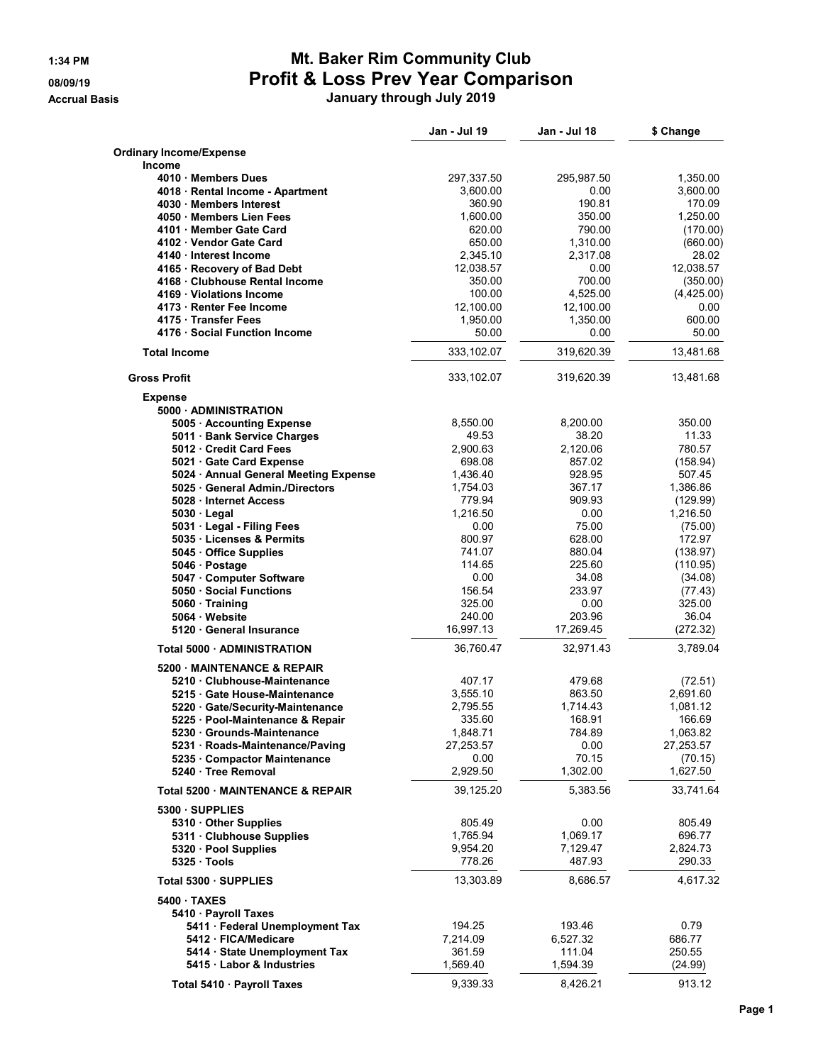### **1:34 PM Mt. Baker Rim Community Club 08/09/19 Profit & Loss Prev Year Comparison**

**Accrual Basis January through July 2019**

|                                                                    | Jan - Jul 19           | Jan - Jul 18         | \$ Change          |
|--------------------------------------------------------------------|------------------------|----------------------|--------------------|
| <b>Ordinary Income/Expense</b>                                     |                        |                      |                    |
| Income                                                             |                        |                      |                    |
| 4010 Members Dues                                                  | 297,337.50<br>3,600.00 | 295,987.50           | 1,350.00           |
| 4018 · Rental Income - Apartment<br>4030 Members Interest          | 360.90                 | 0.00<br>190.81       | 3,600.00<br>170.09 |
| 4050 Members Lien Fees                                             | 1,600.00               | 350.00               | 1,250.00           |
| 4101 Member Gate Card                                              | 620.00                 | 790.00               | (170.00)           |
| 4102 Vendor Gate Card                                              | 650.00                 | 1,310.00             | (660.00)           |
| 4140 · Interest Income                                             | 2,345.10               | 2,317.08             | 28.02              |
| 4165 · Recovery of Bad Debt                                        | 12,038.57              | 0.00                 | 12,038.57          |
| 4168 Clubhouse Rental Income                                       | 350.00                 | 700.00               | (350.00)           |
| 4169 · Violations Income                                           | 100.00                 | 4,525.00             | (4,425.00)         |
| 4173 · Renter Fee Income                                           | 12,100.00              | 12,100.00            | 0.00               |
| 4175 Transfer Fees                                                 | 1,950.00               | 1,350.00             | 600.00             |
| 4176 · Social Function Income                                      | 50.00                  | 0.00                 | 50.00              |
| <b>Total Income</b>                                                | 333,102.07             | 319,620.39           | 13,481.68          |
| <b>Gross Profit</b>                                                | 333,102.07             | 319,620.39           | 13,481.68          |
| <b>Expense</b><br>5000 ADMINISTRATION                              |                        |                      |                    |
| 5005 · Accounting Expense                                          | 8,550.00               | 8,200.00             | 350.00             |
| 5011 Bank Service Charges                                          | 49.53                  | 38.20                | 11.33              |
| 5012 Credit Card Fees                                              | 2.900.63               | 2,120.06             | 780.57             |
| 5021 Gate Card Expense                                             | 698.08                 | 857.02               | (158.94)           |
| 5024 • Annual General Meeting Expense                              | 1,436.40               | 928.95               | 507.45             |
| 5025 General Admin./Directors                                      | 1,754.03               | 367.17               | 1,386.86           |
| 5028 Internet Access                                               | 779.94                 | 909.93               | (129.99)           |
| 5030 Legal                                                         | 1,216.50               | 0.00                 | 1,216.50           |
| 5031 · Legal - Filing Fees                                         | 0.00                   | 75.00                | (75.00)            |
| 5035 Licenses & Permits<br>5045 Office Supplies                    | 800.97<br>741.07       | 628.00<br>880.04     | 172.97<br>(138.97) |
| 5046 Postage                                                       | 114.65                 | 225.60               | (110.95)           |
| 5047 Computer Software                                             | 0.00                   | 34.08                | (34.08)            |
| 5050 Social Functions                                              | 156.54                 | 233.97               | (77.43)            |
| 5060 Training                                                      | 325.00                 | 0.00                 | 325.00             |
| 5064 Website                                                       | 240.00                 | 203.96               | 36.04              |
| 5120 General Insurance                                             | 16,997.13              | 17,269.45            | (272.32)           |
| Total 5000 - ADMINISTRATION                                        | 36,760.47              | 32,971.43            | 3,789.04           |
| 5200 MAINTENANCE & REPAIR                                          |                        |                      |                    |
| 5210 Clubhouse-Maintenance                                         | 407.17                 | 479.68               | (72.51)            |
| 5215 Gate House-Maintenance                                        | 3,555.10               | 863.50               | 2,691.60           |
| 5220 Gate/Security-Maintenance<br>5225 · Pool-Maintenance & Repair | 2,795.55<br>335.60     | 1,714.43<br>168.91   | 1,081.12<br>166.69 |
| 5230 Grounds-Maintenance                                           | 1,848.71               | 784.89               | 1,063.82           |
| 5231 · Roads-Maintenance/Paving                                    | 27,253.57              | 0.00                 | 27,253.57          |
| 5235 Compactor Maintenance                                         | 0.00                   | 70.15                | (70.15)            |
| 5240 Tree Removal                                                  | 2,929.50               | 1,302.00             | 1,627.50           |
| Total 5200 MAINTENANCE & REPAIR                                    | 39,125.20              | 5,383.56             | 33,741.64          |
| 5300 SUPPLIES                                                      |                        |                      |                    |
| 5310 Other Supplies                                                | 805.49                 | 0.00                 | 805.49             |
| 5311 Clubhouse Supplies<br>5320 · Pool Supplies                    | 1,765.94<br>9,954.20   | 1,069.17<br>7,129.47 | 696.77<br>2,824.73 |
| 5325 Tools                                                         | 778.26                 | 487.93               | 290.33             |
| Total 5300 · SUPPLIES                                              | 13,303.89              | 8,686.57             | 4,617.32           |
| 5400 TAXES                                                         |                        |                      |                    |
| 5410 · Payroll Taxes                                               |                        |                      |                    |
| 5411 · Federal Unemployment Tax                                    | 194.25                 | 193.46               | 0.79               |
| 5412 FICA/Medicare                                                 | 7,214.09               | 6,527.32             | 686.77             |
| 5414 · State Unemployment Tax                                      | 361.59                 | 111.04               | 250.55             |
| 5415 · Labor & Industries                                          | 1,569.40               | 1,594.39             | (24.99)            |
| Total 5410 · Payroll Taxes                                         | 9,339.33               | 8,426.21             | 913.12             |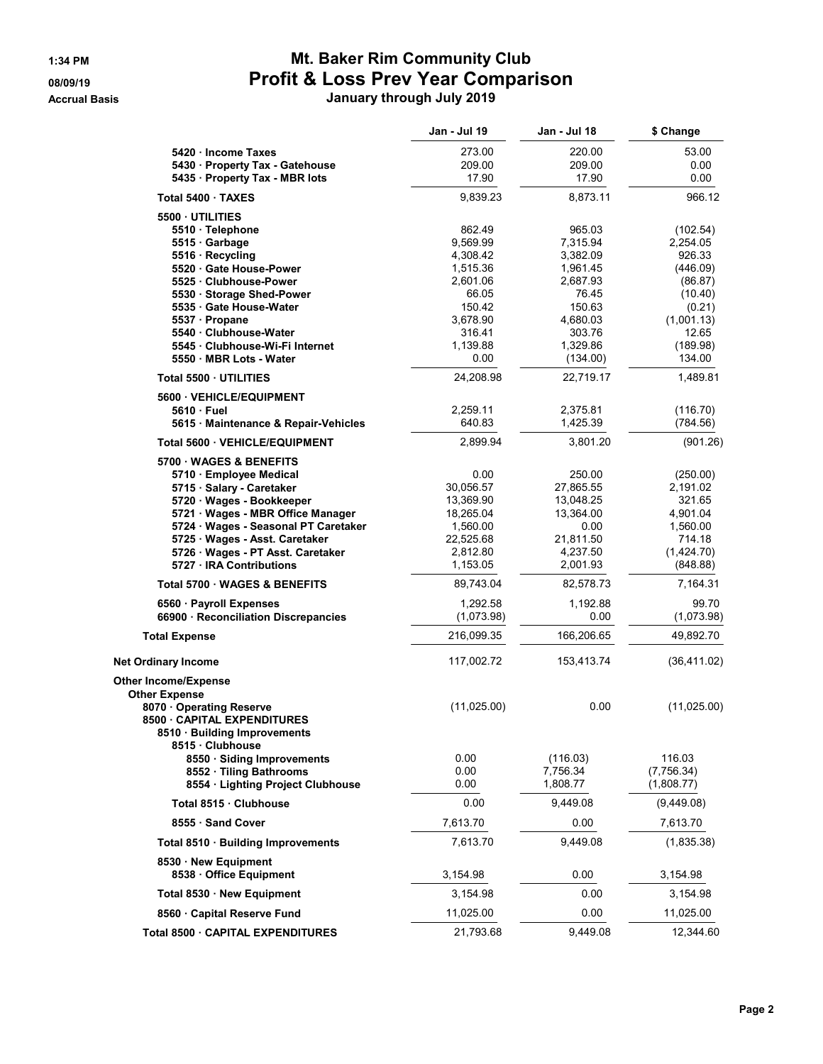## **1:34 PM Mt. Baker Rim Community Club 08/09/19 Profit & Loss Prev Year Comparison**

**Accrual Basis January through July 2019**

|                                                                 | <b>Jan - Jul 19</b>    | Jan - Jul 18         | \$ Change            |
|-----------------------------------------------------------------|------------------------|----------------------|----------------------|
| 5420 Income Taxes                                               | 273.00                 | 220.00               | 53.00                |
| 5430 · Property Tax - Gatehouse                                 | 209.00                 | 209.00               | 0.00                 |
| 5435 · Property Tax - MBR lots                                  | 17.90                  | 17.90                | 0.00                 |
| Total 5400 · TAXES                                              | 9,839.23               | 8,873.11             | 966.12               |
| 5500 UTILITIES                                                  |                        |                      |                      |
| 5510 · Telephone                                                | 862.49                 | 965.03               | (102.54)             |
| 5515 Garbage                                                    | 9,569.99               | 7,315.94             | 2,254.05             |
| 5516 · Recycling<br>5520 Gate House-Power                       | 4,308.42<br>1,515.36   | 3,382.09<br>1,961.45 | 926.33<br>(446.09)   |
| 5525 Clubhouse-Power                                            | 2,601.06               | 2,687.93             | (86.87)              |
| 5530 Storage Shed-Power                                         | 66.05                  | 76.45                | (10.40)              |
| 5535 Gate House-Water                                           | 150.42                 | 150.63               | (0.21)               |
| 5537 · Propane                                                  | 3,678.90               | 4,680.03             | (1,001.13)           |
| 5540 Clubhouse-Water<br>5545 Clubhouse-Wi-Fi Internet           | 316.41<br>1,139.88     | 303.76<br>1,329.86   | 12.65<br>(189.98)    |
| 5550 MBR Lots - Water                                           | 0.00                   | (134.00)             | 134.00               |
| Total 5500 UTILITIES                                            | 24,208.98              | 22,719.17            | 1,489.81             |
| 5600 · VEHICLE/EQUIPMENT                                        |                        |                      |                      |
| 5610 Fuel                                                       | 2,259.11               | 2,375.81             | (116.70)             |
| 5615 · Maintenance & Repair-Vehicles                            | 640.83                 | 1,425.39             | (784.56)             |
| Total 5600 VEHICLE/EQUIPMENT                                    | 2,899.94               | 3,801.20             | (901.26)             |
| 5700 WAGES & BENEFITS                                           |                        |                      |                      |
| 5710 · Employee Medical<br>5715 · Salary - Caretaker            | 0.00<br>30,056.57      | 250.00<br>27,865.55  | (250.00)<br>2,191.02 |
| 5720 Wages - Bookkeeper                                         | 13,369.90              | 13,048.25            | 321.65               |
| 5721 · Wages - MBR Office Manager                               | 18,265.04              | 13,364.00            | 4,901.04             |
| 5724 · Wages - Seasonal PT Caretaker                            | 1,560.00               | 0.00                 | 1,560.00             |
| 5725 · Wages - Asst. Caretaker                                  | 22,525.68              | 21,811.50            | 714.18               |
| 5726 Wages - PT Asst. Caretaker                                 | 2,812.80               | 4,237.50             | (1,424.70)           |
| 5727 · IRA Contributions<br>Total 5700 · WAGES & BENEFITS       | 1,153.05<br>89,743.04  | 2,001.93             | (848.88)<br>7,164.31 |
|                                                                 |                        | 82,578.73            |                      |
| 6560 · Payroll Expenses<br>66900 · Reconciliation Discrepancies | 1,292.58<br>(1,073.98) | 1,192.88<br>0.00     | 99.70<br>(1,073.98)  |
| <b>Total Expense</b>                                            | 216,099.35             | 166,206.65           | 49,892.70            |
| <b>Net Ordinary Income</b>                                      | 117,002.72             | 153,413.74           | (36, 411.02)         |
| <b>Other Income/Expense</b>                                     |                        |                      |                      |
| <b>Other Expense</b>                                            |                        |                      |                      |
| 8070 Operating Reserve                                          | (11,025.00)            | 0.00                 | (11, 025.00)         |
| 8500 CAPITAL EXPENDITURES<br>8510 · Building Improvements       |                        |                      |                      |
| 8515 Clubhouse                                                  |                        |                      |                      |
| 8550 · Siding Improvements<br>8552 · Tiling Bathrooms           | 0.00<br>0.00           | (116.03)<br>7,756.34 | 116.03<br>(7,756.34) |
| 8554 · Lighting Project Clubhouse                               | 0.00                   | 1,808.77             | (1,808.77)           |
| Total 8515 · Clubhouse                                          | 0.00                   | 9,449.08             | (9,449.08)           |
| 8555 Sand Cover                                                 | 7,613.70               | 0.00                 | 7,613.70             |
| Total 8510 · Building Improvements                              | 7,613.70               | 9,449.08             | (1,835.38)           |
| 8530 New Equipment<br>8538 Office Equipment                     | 3,154.98               | 0.00                 | 3,154.98             |
| Total 8530 · New Equipment                                      | 3,154.98               | 0.00                 | 3,154.98             |
| 8560 Capital Reserve Fund                                       | 11,025.00              | 0.00                 | 11,025.00            |
| Total 8500 · CAPITAL EXPENDITURES                               | 21,793.68              | 9,449.08             | 12,344.60            |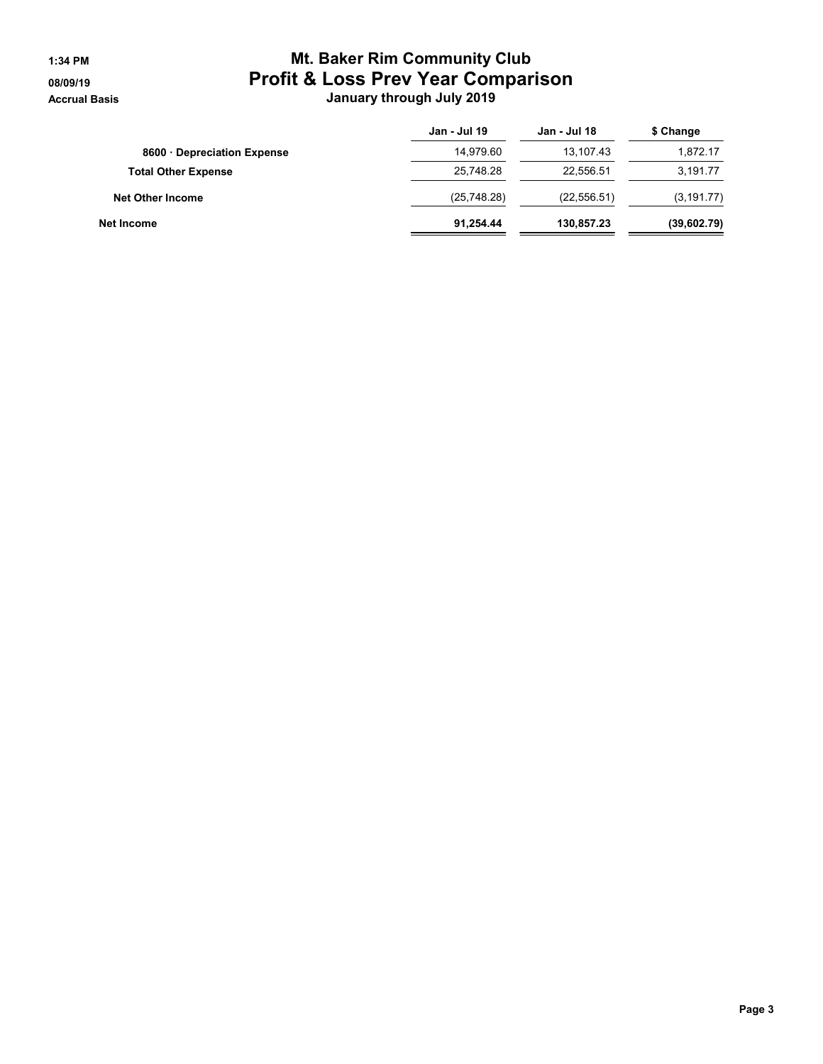### **1:34 PM Mt. Baker Rim Community Club 08/09/19 Profit & Loss Prev Year Comparison Accrual Basis January through July 2019**

|                            | Jan - Jul 19 | Jan - Jul 18 | \$ Change   |
|----------------------------|--------------|--------------|-------------|
| 8600 Depreciation Expense  | 14,979.60    | 13.107.43    | 1,872.17    |
| <b>Total Other Expense</b> | 25,748.28    | 22.556.51    | 3,191.77    |
| <b>Net Other Income</b>    | (25,748.28)  | (22, 556.51) | (3, 191.77) |
| Net Income                 | 91,254.44    | 130.857.23   | (39,602.79) |
|                            |              |              |             |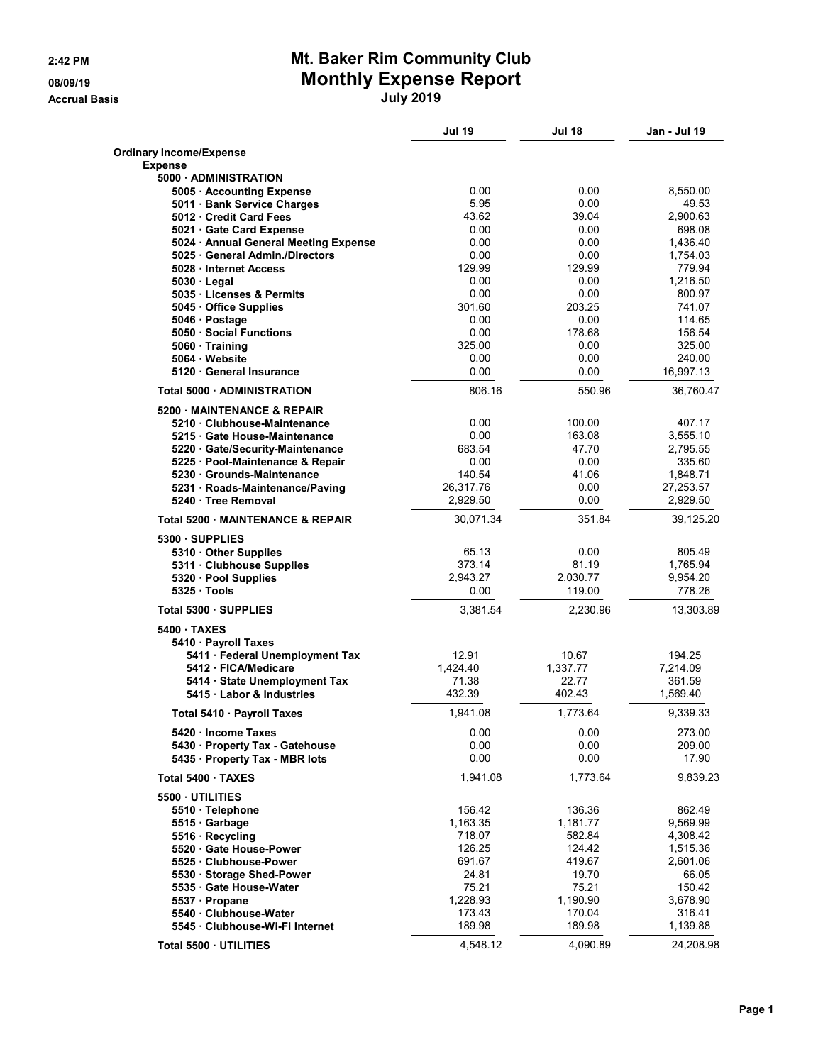**Accrual Basis July 2019**

### **2:42 PM Mt. Baker Rim Community Club 08/09/19 Monthly Expense Report**

|                                                                        | <b>Jul 19</b>         | Jul 18       | <b>Jan - Jul 19</b>   |
|------------------------------------------------------------------------|-----------------------|--------------|-----------------------|
| <b>Ordinary Income/Expense</b>                                         |                       |              |                       |
| <b>Expense</b>                                                         |                       |              |                       |
| 5000 ADMINISTRATION                                                    |                       |              |                       |
| 5005 · Accounting Expense                                              | 0.00                  | 0.00         | 8,550.00              |
| 5011 · Bank Service Charges                                            | 5.95                  | 0.00         | 49.53                 |
| 5012 Credit Card Fees                                                  | 43.62                 | 39.04        | 2,900.63              |
| 5021 Gate Card Expense                                                 | 0.00                  | 0.00         | 698.08                |
| 5024 · Annual General Meeting Expense<br>5025 General Admin./Directors | 0.00<br>0.00          | 0.00<br>0.00 | 1,436.40<br>1,754.03  |
| 5028 Internet Access                                                   | 129.99                | 129.99       | 779.94                |
| $5030 \cdot$ Legal                                                     | 0.00                  | 0.00         | 1,216.50              |
| 5035 Licenses & Permits                                                | 0.00                  | 0.00         | 800.97                |
| 5045 Office Supplies                                                   | 301.60                | 203.25       | 741.07                |
| 5046 · Postage                                                         | 0.00                  | 0.00         | 114.65                |
| 5050 Social Functions                                                  | 0.00                  | 178.68       | 156.54                |
| 5060 Training                                                          | 325.00                | 0.00         | 325.00                |
| 5064 Website                                                           | 0.00                  | 0.00         | 240.00                |
| 5120 General Insurance                                                 | 0.00                  | 0.00         | 16,997.13             |
| Total 5000 · ADMINISTRATION                                            | 806.16                | 550.96       | 36,760.47             |
| 5200 MAINTENANCE & REPAIR                                              |                       |              |                       |
| 5210 Clubhouse-Maintenance                                             | 0.00                  | 100.00       | 407.17                |
| 5215 Gate House-Maintenance                                            | 0.00                  | 163.08       | 3,555.10              |
| 5220 · Gate/Security-Maintenance                                       | 683.54                | 47.70        | 2,795.55              |
| 5225 · Pool-Maintenance & Repair                                       | 0.00                  | 0.00         | 335.60                |
| 5230 Grounds-Maintenance                                               | 140.54                | 41.06        | 1,848.71              |
| 5231 · Roads-Maintenance/Paving<br>5240 · Tree Removal                 | 26,317.76<br>2,929.50 | 0.00<br>0.00 | 27,253.57<br>2,929.50 |
| <b>Total 5200 MAINTENANCE &amp; REPAIR</b>                             | 30,071.34             | 351.84       | 39,125.20             |
|                                                                        |                       |              |                       |
| 5300 SUPPLIES                                                          | 65.13                 | 0.00         | 805.49                |
| 5310 Other Supplies                                                    | 373.14                | 81.19        | 1,765.94              |
| 5311 · Clubhouse Supplies<br>5320 · Pool Supplies                      | 2,943.27              | 2,030.77     | 9,954.20              |
| 5325 Tools                                                             | 0.00                  | 119.00       | 778.26                |
|                                                                        |                       |              |                       |
| Total 5300 · SUPPLIES                                                  | 3,381.54              | 2,230.96     | 13,303.89             |
| 5400 TAXES<br>5410 · Payroll Taxes                                     |                       |              |                       |
| 5411 · Federal Unemployment Tax                                        | 12.91                 | 10.67        | 194.25                |
| 5412 FICA/Medicare                                                     | 1,424.40              | 1,337.77     | 7,214.09              |
| 5414 · State Unemployment Tax                                          | 71.38                 | 22.77        | 361.59                |
| 5415 Labor & Industries                                                | 432.39                | 402.43       | 1,569.40              |
| Total 5410 · Payroll Taxes                                             | 1,941.08              | 1,773.64     | 9,339.33              |
| 5420 Income Taxes                                                      | 0.00                  | 0.00         | 273.00                |
| 5430 · Property Tax - Gatehouse                                        | 0.00                  | 0.00         | 209.00                |
| 5435 · Property Tax - MBR lots                                         | 0.00                  | 0.00         | 17.90                 |
| Total 5400 · TAXES                                                     | 1,941.08              | 1,773.64     | 9,839.23              |
| 5500 UTILITIES                                                         |                       |              |                       |
| 5510 · Telephone                                                       | 156.42                | 136.36       | 862.49                |
| 5515 Garbage                                                           | 1,163.35              | 1,181.77     | 9,569.99              |
| 5516 Recycling                                                         | 718.07                | 582.84       | 4,308.42              |
| 5520 Gate House-Power                                                  | 126.25                | 124.42       | 1,515.36              |
| 5525 Clubhouse-Power                                                   | 691.67                | 419.67       | 2,601.06              |
| 5530 Storage Shed-Power                                                | 24.81                 | 19.70        | 66.05                 |
| 5535 Gate House-Water                                                  | 75.21                 | 75.21        | 150.42                |
| 5537 · Propane                                                         | 1,228.93              | 1,190.90     | 3,678.90              |
| 5540 Clubhouse-Water                                                   | 173.43                | 170.04       | 316.41                |
| 5545 · Clubhouse-Wi-Fi Internet                                        | 189.98                | 189.98       | 1,139.88              |
| Total 5500 · UTILITIES                                                 | 4,548.12              | 4,090.89     | 24,208.98             |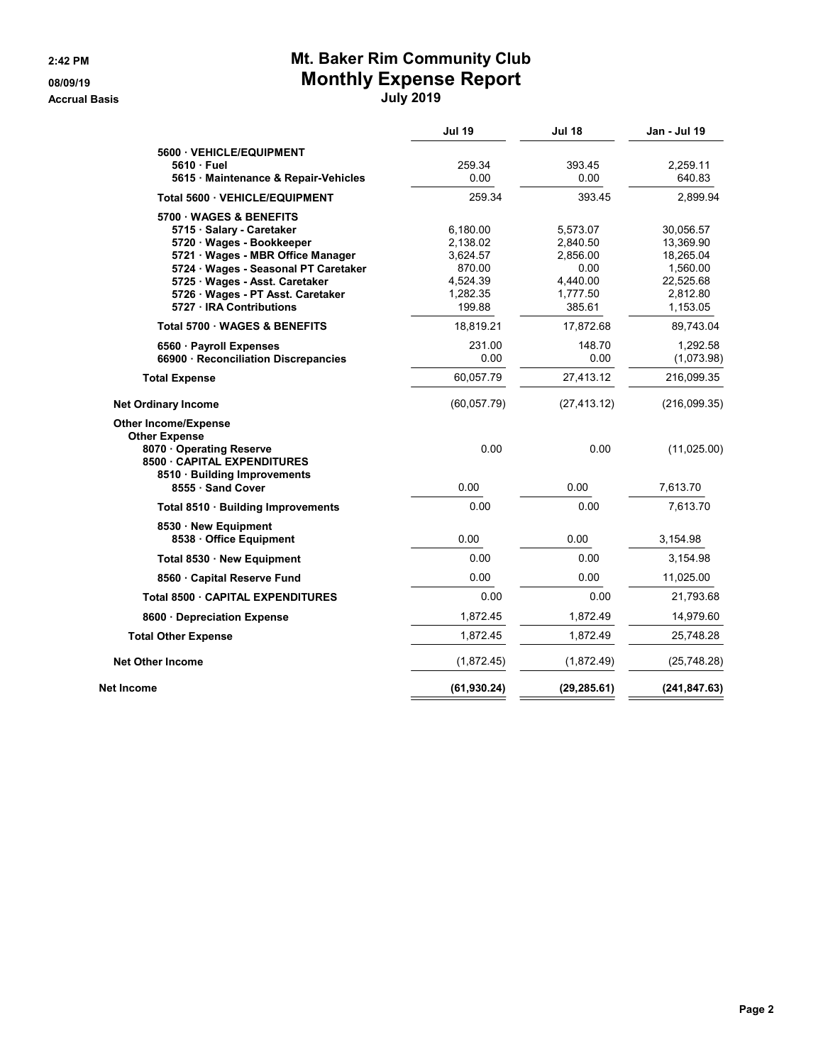**Accrual Basis July 2019**

## **2:42 PM Mt. Baker Rim Community Club 08/09/19 Monthly Expense Report**

|                                                                              |                                                                            | <b>Jan - Jul 19</b>                                                                  |
|------------------------------------------------------------------------------|----------------------------------------------------------------------------|--------------------------------------------------------------------------------------|
|                                                                              |                                                                            |                                                                                      |
|                                                                              |                                                                            | 2,259.11<br>640.83                                                                   |
|                                                                              |                                                                            | 2,899.94                                                                             |
|                                                                              |                                                                            |                                                                                      |
| 6,180.00<br>2,138.02<br>3,624.57<br>870.00<br>4,524.39<br>1,282.35<br>199.88 | 5,573.07<br>2,840.50<br>2,856.00<br>0.00<br>4,440.00<br>1,777.50<br>385.61 | 30,056.57<br>13,369.90<br>18,265.04<br>1,560.00<br>22,525.68<br>2,812.80<br>1,153.05 |
| 18,819.21                                                                    | 17,872.68                                                                  | 89,743.04                                                                            |
| 231.00<br>0.00                                                               | 148.70<br>0.00                                                             | 1,292.58<br>(1,073.98)                                                               |
| 60,057.79                                                                    | 27,413.12                                                                  | 216,099.35                                                                           |
| (60, 057.79)                                                                 | (27, 413.12)                                                               | (216,099.35)                                                                         |
| 0.00                                                                         | 0.00                                                                       | (11,025.00)                                                                          |
| 0.00                                                                         | 0.00                                                                       | 7,613.70                                                                             |
| 0.00                                                                         | 0.00                                                                       | 7,613.70                                                                             |
| 0.00                                                                         | 0.00                                                                       | 3,154.98                                                                             |
| 0.00                                                                         | 0.00                                                                       | 3,154.98                                                                             |
| 0.00                                                                         | 0.00                                                                       | 11,025.00                                                                            |
| 0.00                                                                         | 0.00                                                                       | 21,793.68                                                                            |
| 1,872.45                                                                     | 1,872.49                                                                   | 14,979.60                                                                            |
| 1,872.45                                                                     | 1,872.49                                                                   | 25,748.28                                                                            |
| (1,872.45)                                                                   | (1,872.49)                                                                 | (25, 748.28)                                                                         |
| (61, 930.24)                                                                 | (29, 285.61)                                                               | (241, 847.63)                                                                        |
|                                                                              | <b>Jul 19</b><br>259.34<br>0.00<br>259.34                                  | <b>Jul 18</b><br>393.45<br>0.00<br>393.45                                            |